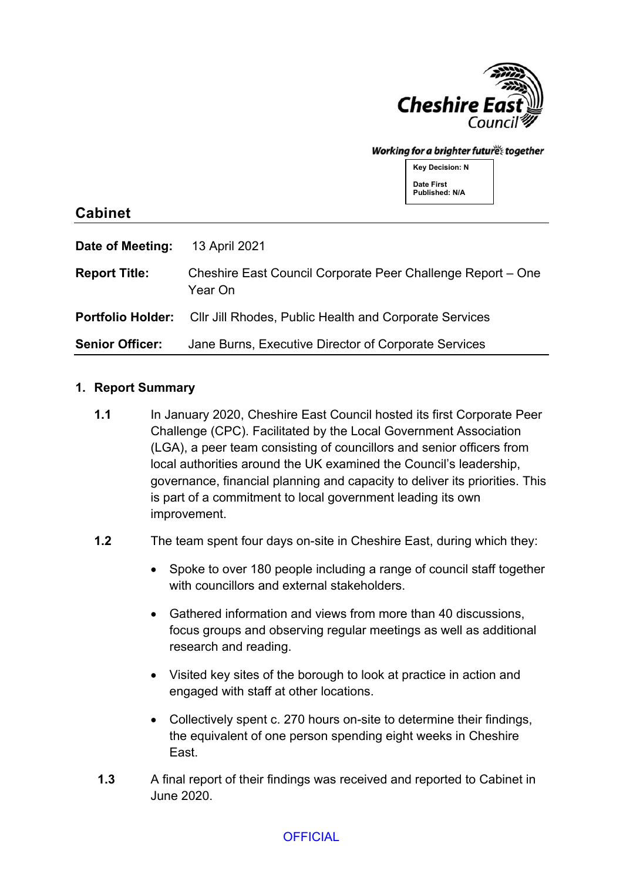

#### Working for a brighter futures together

**Key Decision: N Date First Published: N/A**

## **Cabinet**

| Date of Meeting:       | 13 April 2021                                                                   |
|------------------------|---------------------------------------------------------------------------------|
| <b>Report Title:</b>   | Cheshire East Council Corporate Peer Challenge Report – One<br>Year On          |
|                        | <b>Portfolio Holder:</b> Cllr Jill Rhodes, Public Health and Corporate Services |
| <b>Senior Officer:</b> | Jane Burns, Executive Director of Corporate Services                            |

#### **1. Report Summary**

**1.1** In January 2020, Cheshire East Council hosted its first Corporate Peer Challenge (CPC). Facilitated by the Local Government Association (LGA), a peer team consisting of councillors and senior officers from local authorities around the UK examined the Council's leadership, governance, financial planning and capacity to deliver its priorities. This is part of a commitment to local government leading its own improvement.

#### **1.2** The team spent four days on-site in Cheshire East, during which they:

- Spoke to over 180 people including a range of council staff together with councillors and external stakeholders.
- Gathered information and views from more than 40 discussions, focus groups and observing regular meetings as well as additional research and reading.
- Visited key sites of the borough to look at practice in action and engaged with staff at other locations.
- Collectively spent c. 270 hours on-site to determine their findings, the equivalent of one person spending eight weeks in Cheshire East.
- **1.3** A final report of their findings was received and reported to Cabinet in June 2020.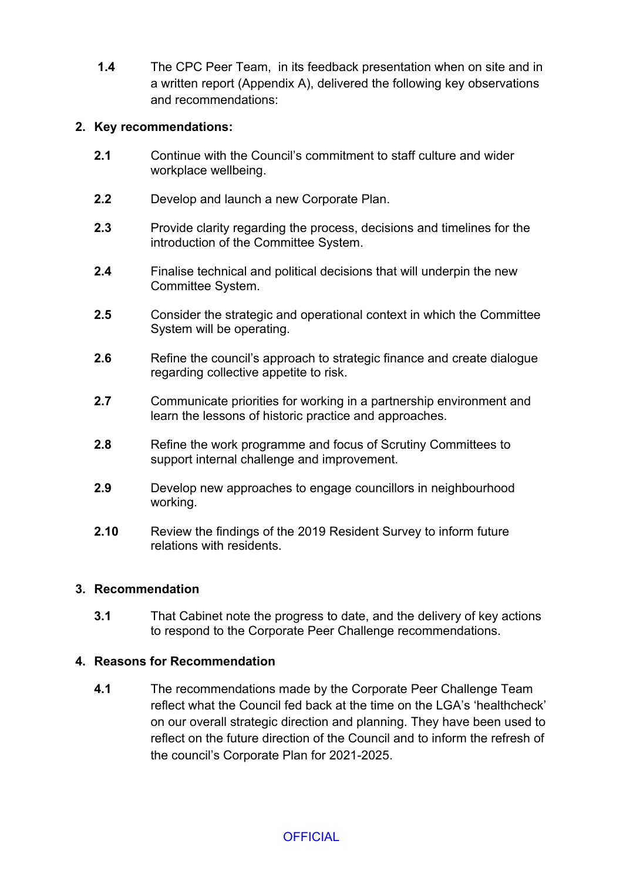**1.4** The CPC Peer Team, in its feedback presentation when on site and in a written report (Appendix A), delivered the following key observations and recommendations:

### **2. Key recommendations:**

- **2.1** Continue with the Council's commitment to staff culture and wider workplace wellbeing.
- **2.2** Develop and launch a new Corporate Plan.
- **2.3** Provide clarity regarding the process, decisions and timelines for the introduction of the Committee System.
- **2.4** Finalise technical and political decisions that will underpin the new Committee System.
- **2.5** Consider the strategic and operational context in which the Committee System will be operating.
- **2.6** Refine the council's approach to strategic finance and create dialogue regarding collective appetite to risk.
- **2.7** Communicate priorities for working in a partnership environment and learn the lessons of historic practice and approaches.
- **2.8** Refine the work programme and focus of Scrutiny Committees to support internal challenge and improvement.
- **2.9** Develop new approaches to engage councillors in neighbourhood working.
- **2.10** Review the findings of the 2019 Resident Survey to inform future relations with residents.

#### **3. Recommendation**

**3.1** That Cabinet note the progress to date, and the delivery of key actions to respond to the Corporate Peer Challenge recommendations.

#### **4. Reasons for Recommendation**

**4.1** The recommendations made by the Corporate Peer Challenge Team reflect what the Council fed back at the time on the LGA's 'healthcheck' on our overall strategic direction and planning. They have been used to reflect on the future direction of the Council and to inform the refresh of the council's Corporate Plan for 2021-2025.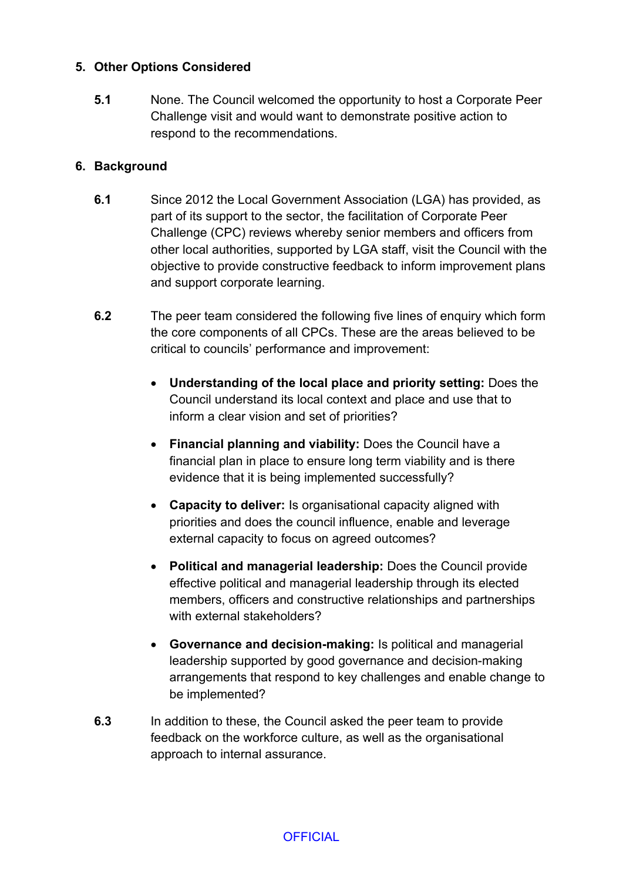### **5. Other Options Considered**

**5.1** None. The Council welcomed the opportunity to host a Corporate Peer Challenge visit and would want to demonstrate positive action to respond to the recommendations.

### **6. Background**

- **6.1** Since 2012 the Local Government Association (LGA) has provided, as part of its support to the sector, the facilitation of Corporate Peer Challenge (CPC) reviews whereby senior members and officers from other local authorities, supported by LGA staff, visit the Council with the objective to provide constructive feedback to inform improvement plans and support corporate learning.
- **6.2** The peer team considered the following five lines of enquiry which form the core components of all CPCs. These are the areas believed to be critical to councils' performance and improvement:
	- **Understanding of the local place and priority setting:** Does the Council understand its local context and place and use that to inform a clear vision and set of priorities?
	- **Financial planning and viability:** Does the Council have a financial plan in place to ensure long term viability and is there evidence that it is being implemented successfully?
	- **Capacity to deliver:** Is organisational capacity aligned with priorities and does the council influence, enable and leverage external capacity to focus on agreed outcomes?
	- **Political and managerial leadership:** Does the Council provide effective political and managerial leadership through its elected members, officers and constructive relationships and partnerships with external stakeholders?
	- **Governance and decision-making:** Is political and managerial leadership supported by good governance and decision-making arrangements that respond to key challenges and enable change to be implemented?
- **6.3** In addition to these, the Council asked the peer team to provide feedback on the workforce culture, as well as the organisational approach to internal assurance.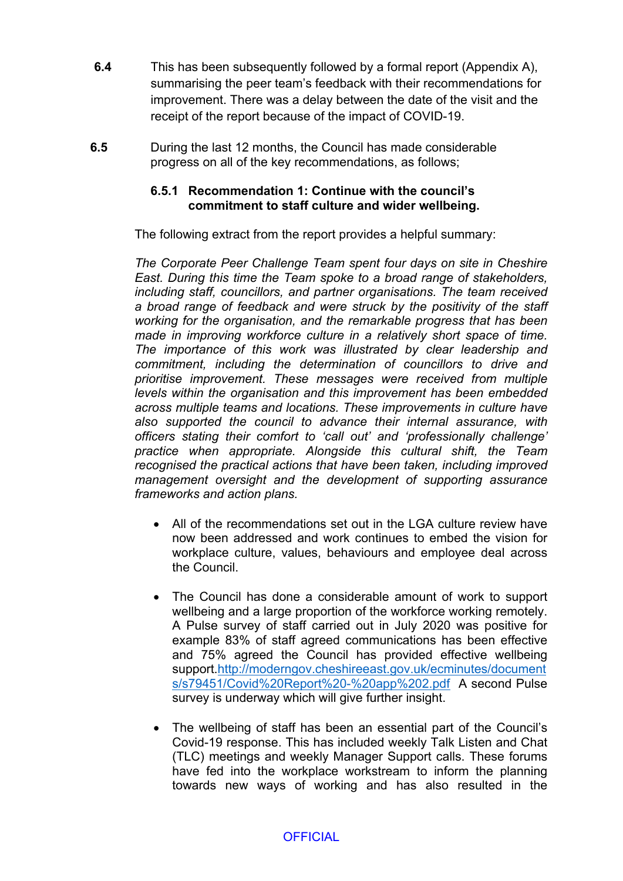- **6.4** This has been subsequently followed by a formal report (Appendix A), summarising the peer team's feedback with their recommendations for improvement. There was a delay between the date of the visit and the receipt of the report because of the impact of COVID-19.
- **6.5** During the last 12 months, the Council has made considerable progress on all of the key recommendations, as follows;

#### **6.5.1 Recommendation 1: Continue with the council's commitment to staff culture and wider wellbeing.**

The following extract from the report provides a helpful summary:

*The Corporate Peer Challenge Team spent four days on site in Cheshire East. During this time the Team spoke to a broad range of stakeholders, including staff, councillors, and partner organisations. The team received a broad range of feedback and were struck by the positivity of the staff working for the organisation, and the remarkable progress that has been made in improving workforce culture in a relatively short space of time. The importance of this work was illustrated by clear leadership and commitment, including the determination of councillors to drive and prioritise improvement. These messages were received from multiple levels within the organisation and this improvement has been embedded across multiple teams and locations. These improvements in culture have also supported the council to advance their internal assurance, with officers stating their comfort to 'call out' and 'professionally challenge' practice when appropriate. Alongside this cultural shift, the Team recognised the practical actions that have been taken, including improved management oversight and the development of supporting assurance frameworks and action plans.*

- All of the recommendations set out in the LGA culture review have now been addressed and work continues to embed the vision for workplace culture, values, behaviours and employee deal across the Council.
- The Council has done a considerable amount of work to support wellbeing and a large proportion of the workforce working remotely. A Pulse survey of staff carried out in July 2020 was positive for example 83% of staff agreed communications has been effective and 75% agreed the Council has provided effective wellbeing support[.http://moderngov.cheshireeast.gov.uk/ecminutes/document](http://moderngov.cheshireeast.gov.uk/ecminutes/documents/s79451/Covid%20Report%20-%20app%202.pdf) [s/s79451/Covid%20Report%20-%20app%202.pdf](http://moderngov.cheshireeast.gov.uk/ecminutes/documents/s79451/Covid%20Report%20-%20app%202.pdf) A second Pulse survey is underway which will give further insight.
- The wellbeing of staff has been an essential part of the Council's Covid-19 response. This has included weekly Talk Listen and Chat (TLC) meetings and weekly Manager Support calls. These forums have fed into the workplace workstream to inform the planning towards new ways of working and has also resulted in the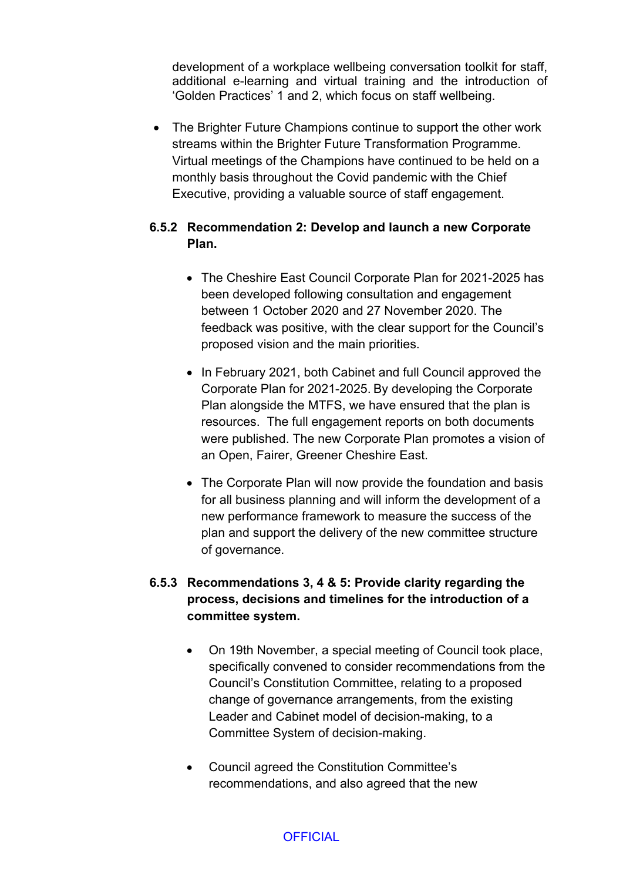development of a workplace wellbeing conversation toolkit for staff, additional e-learning and virtual training and the introduction of 'Golden Practices' 1 and 2, which focus on staff wellbeing.

• The Brighter Future Champions continue to support the other work streams within the Brighter Future Transformation Programme. Virtual meetings of the Champions have continued to be held on a monthly basis throughout the Covid pandemic with the Chief Executive, providing a valuable source of staff engagement.

## **6.5.2 Recommendation 2: Develop and launch a new Corporate Plan.**

- The Cheshire East Council Corporate Plan for 2021-2025 has been developed following consultation and engagement between 1 October 2020 and 27 November 2020. The feedback was positive, with the clear support for the Council's proposed vision and the main priorities.
- In February 2021, both Cabinet and full Council approved the Corporate Plan for 2021-2025. By developing the Corporate Plan alongside the MTFS, we have ensured that the plan is resources. The full engagement reports on both documents were published. The new Corporate Plan promotes a vision of an Open, Fairer, Greener Cheshire East.
- The Corporate Plan will now provide the foundation and basis for all business planning and will inform the development of a new performance framework to measure the success of the plan and support the delivery of the new committee structure of governance.

# **6.5.3 Recommendations 3, 4 & 5: Provide clarity regarding the process, decisions and timelines for the introduction of a committee system.**

- On 19th November, a special meeting of Council took place, specifically convened to consider recommendations from the Council's Constitution Committee, relating to a proposed change of governance arrangements, from the existing Leader and Cabinet model of decision-making, to a Committee System of decision-making.
- Council agreed the Constitution Committee's recommendations, and also agreed that the new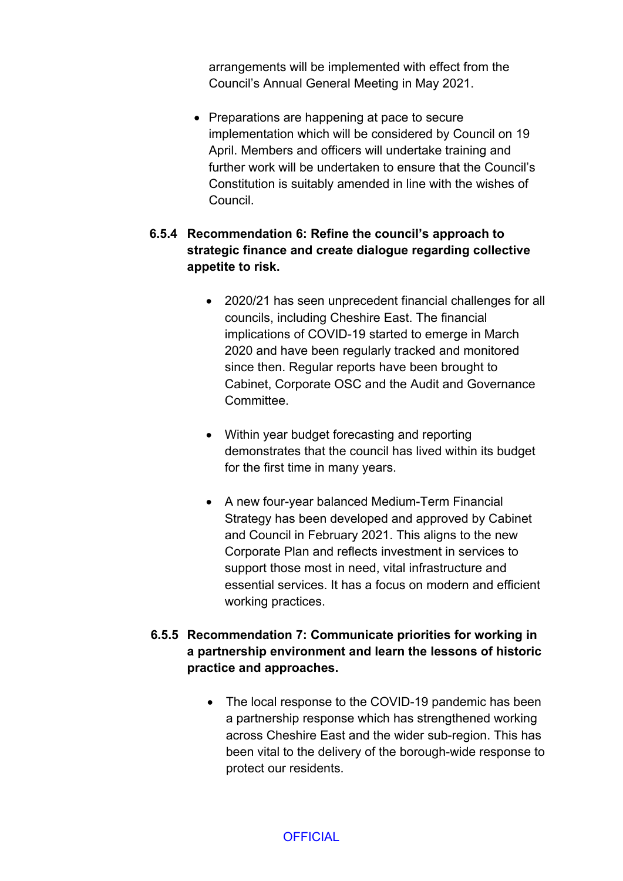arrangements will be implemented with effect from the Council's Annual General Meeting in May 2021.

• Preparations are happening at pace to secure implementation which will be considered by Council on 19 April. Members and officers will undertake training and further work will be undertaken to ensure that the Council's Constitution is suitably amended in line with the wishes of Council.

## **6.5.4 Recommendation 6: Refine the council's approach to strategic finance and create dialogue regarding collective appetite to risk.**

- 2020/21 has seen unprecedent financial challenges for all councils, including Cheshire East. The financial implications of COVID-19 started to emerge in March 2020 and have been regularly tracked and monitored since then. Regular reports have been brought to Cabinet, Corporate OSC and the Audit and Governance **Committee.**
- Within year budget forecasting and reporting demonstrates that the council has lived within its budget for the first time in many years.
- A new four-year balanced Medium-Term Financial Strategy has been developed and approved by Cabinet and Council in February 2021. This aligns to the new Corporate Plan and reflects investment in services to support those most in need, vital infrastructure and essential services. It has a focus on modern and efficient working practices.

## **6.5.5 Recommendation 7: Communicate priorities for working in a partnership environment and learn the lessons of historic practice and approaches.**

• The local response to the COVID-19 pandemic has been a partnership response which has strengthened working across Cheshire East and the wider sub-region. This has been vital to the delivery of the borough-wide response to protect our residents.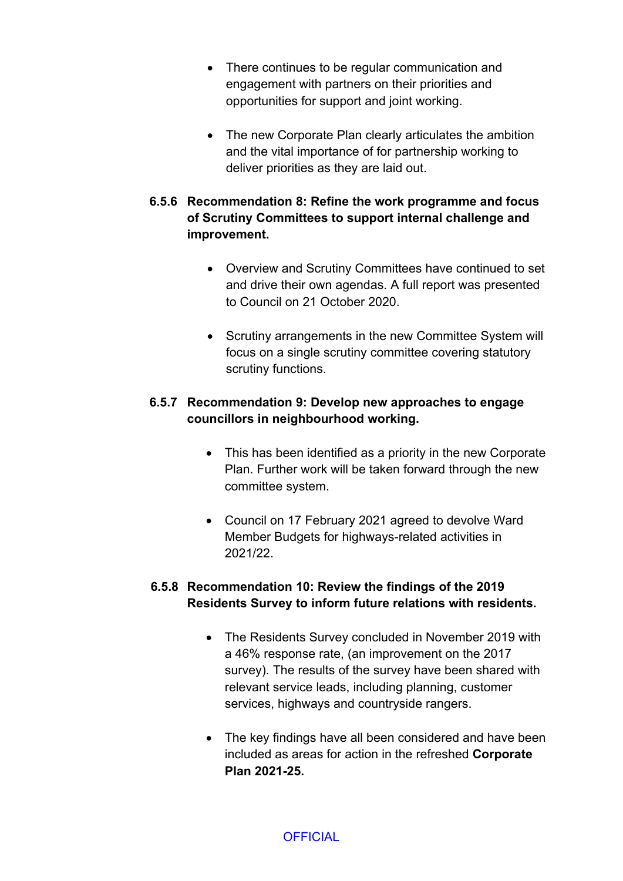- There continues to be regular communication and engagement with partners on their priorities and opportunities for support and joint working.
- The new Corporate Plan clearly articulates the ambition and the vital importance of for partnership working to deliver priorities as they are laid out.

# **6.5.6 Recommendation 8: Refine the work programme and focus of Scrutiny Committees to support internal challenge and improvement.**

- Overview and Scrutiny Committees have continued to set and drive their own agendas. A full report was presented to Council on 21 October 2020.
- Scrutiny arrangements in the new Committee System will focus on a single scrutiny committee covering statutory scrutiny functions.

## **6.5.7 Recommendation 9: Develop new approaches to engage councillors in neighbourhood working.**

- This has been identified as a priority in the new Corporate Plan. Further work will be taken forward through the new committee system.
- Council on 17 February 2021 agreed to devolve Ward Member Budgets for highways-related activities in 2021/22.

# **6.5.8 Recommendation 10: Review the findings of the 2019 Residents Survey to inform future relations with residents.**

- The Residents Survey concluded in November 2019 with a 46% response rate, (an improvement on the 2017 survey). The results of the survey have been shared with relevant service leads, including planning, customer services, highways and countryside rangers.
- The key findings have all been considered and have been included as areas for action in the refreshed **Corporate Plan 2021-25.**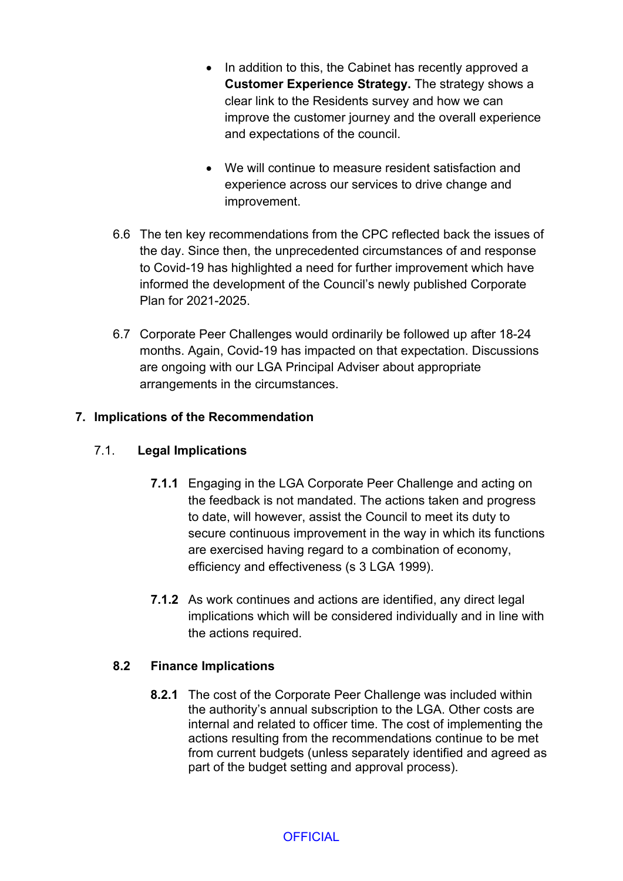- In addition to this, the Cabinet has recently approved a **Customer Experience Strategy.** The strategy shows a clear link to the Residents survey and how we can improve the customer journey and the overall experience and expectations of the council.
- We will continue to measure resident satisfaction and experience across our services to drive change and improvement.
- 6.6 The ten key recommendations from the CPC reflected back the issues of the day. Since then, the unprecedented circumstances of and response to Covid-19 has highlighted a need for further improvement which have informed the development of the Council's newly published Corporate Plan for 2021-2025.
- 6.7 Corporate Peer Challenges would ordinarily be followed up after 18-24 months. Again, Covid-19 has impacted on that expectation. Discussions are ongoing with our LGA Principal Adviser about appropriate arrangements in the circumstances.

## **7. Implications of the Recommendation**

## 7.1. **Legal Implications**

- **7.1.1** Engaging in the LGA Corporate Peer Challenge and acting on the feedback is not mandated. The actions taken and progress to date, will however, assist the Council to meet its duty to secure continuous improvement in the way in which its functions are exercised having regard to a combination of economy, efficiency and effectiveness (s 3 LGA 1999).
- **7.1.2** As work continues and actions are identified, any direct legal implications which will be considered individually and in line with the actions required.

## **8.2 Finance Implications**

**8.2.1** The cost of the Corporate Peer Challenge was included within the authority's annual subscription to the LGA. Other costs are internal and related to officer time. The cost of implementing the actions resulting from the recommendations continue to be met from current budgets (unless separately identified and agreed as part of the budget setting and approval process).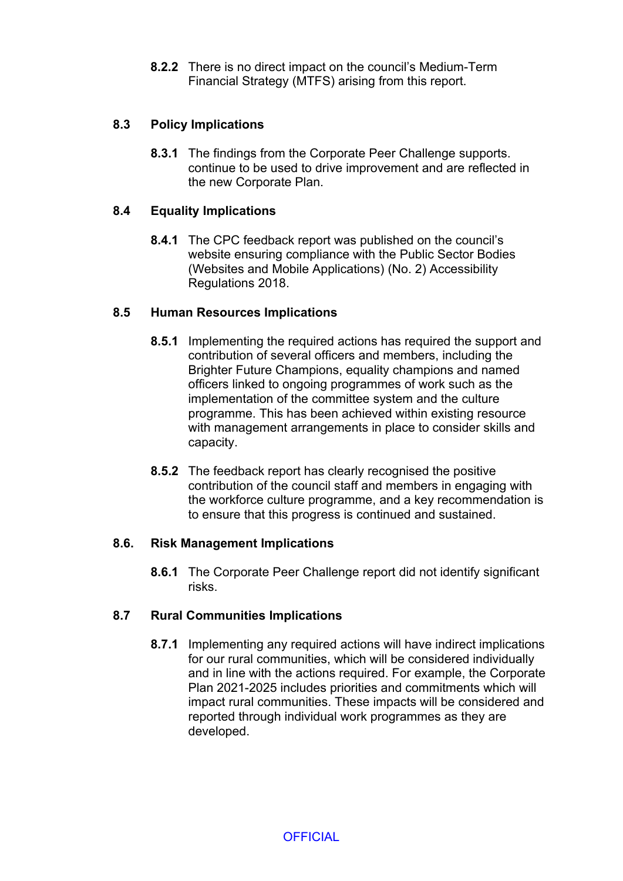**8.2.2** There is no direct impact on the council's Medium-Term Financial Strategy (MTFS) arising from this report.

## **8.3 Policy Implications**

**8.3.1** The findings from the Corporate Peer Challenge supports. continue to be used to drive improvement and are reflected in the new Corporate Plan.

## **8.4 Equality Implications**

**8.4.1** The CPC feedback report was published on the council's website ensuring compliance with the Public Sector Bodies (Websites and Mobile Applications) (No. 2) Accessibility Regulations 2018.

#### **8.5 Human Resources Implications**

- **8.5.1** Implementing the required actions has required the support and contribution of several officers and members, including the Brighter Future Champions, equality champions and named officers linked to ongoing programmes of work such as the implementation of the committee system and the culture programme. This has been achieved within existing resource with management arrangements in place to consider skills and capacity.
- **8.5.2** The feedback report has clearly recognised the positive contribution of the council staff and members in engaging with the workforce culture programme, and a key recommendation is to ensure that this progress is continued and sustained.

## **8.6. Risk Management Implications**

**8.6.1** The Corporate Peer Challenge report did not identify significant risks.

## **8.7 Rural Communities Implications**

**8.7.1** Implementing any required actions will have indirect implications for our rural communities, which will be considered individually and in line with the actions required. For example, the Corporate Plan 2021-2025 includes priorities and commitments which will impact rural communities. These impacts will be considered and reported through individual work programmes as they are developed.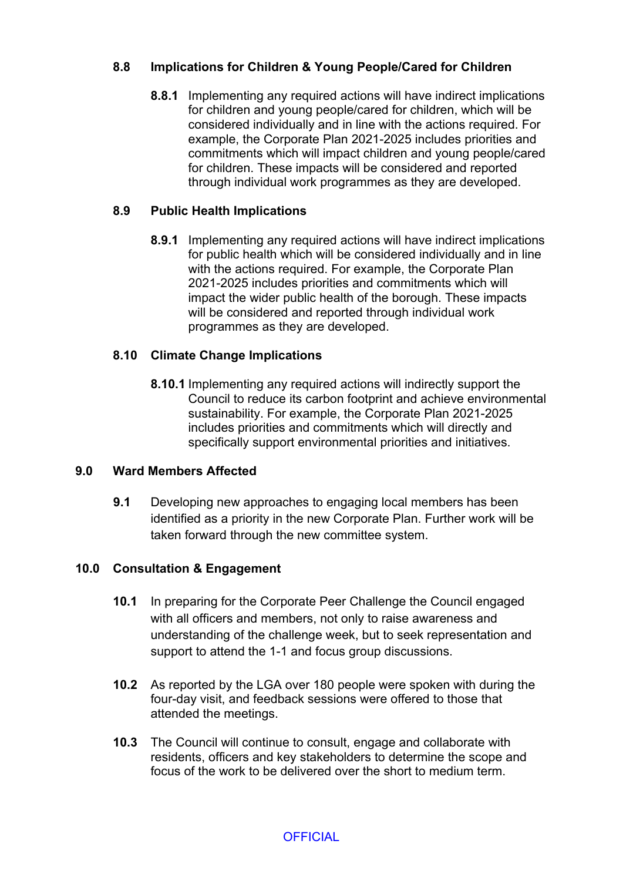## **8.8 Implications for Children & Young People/Cared for Children**

**8.8.1** Implementing any required actions will have indirect implications for children and young people/cared for children, which will be considered individually and in line with the actions required. For example, the Corporate Plan 2021-2025 includes priorities and commitments which will impact children and young people/cared for children. These impacts will be considered and reported through individual work programmes as they are developed.

## **8.9 Public Health Implications**

**8.9.1** Implementing any required actions will have indirect implications for public health which will be considered individually and in line with the actions required. For example, the Corporate Plan 2021-2025 includes priorities and commitments which will impact the wider public health of the borough. These impacts will be considered and reported through individual work programmes as they are developed.

## **8.10 Climate Change Implications**

**8.10.1** Implementing any required actions will indirectly support the Council to reduce its carbon footprint and achieve environmental sustainability. For example, the Corporate Plan 2021-2025 includes priorities and commitments which will directly and specifically support environmental priorities and initiatives.

## **9.0 Ward Members Affected**

**9.1** Developing new approaches to engaging local members has been identified as a priority in the new Corporate Plan. Further work will be taken forward through the new committee system.

## **10.0 Consultation & Engagement**

- **10.1** In preparing for the Corporate Peer Challenge the Council engaged with all officers and members, not only to raise awareness and understanding of the challenge week, but to seek representation and support to attend the 1-1 and focus group discussions.
- **10.2** As reported by the LGA over 180 people were spoken with during the four-day visit, and feedback sessions were offered to those that attended the meetings.
- **10.3** The Council will continue to consult, engage and collaborate with residents, officers and key stakeholders to determine the scope and focus of the work to be delivered over the short to medium term.